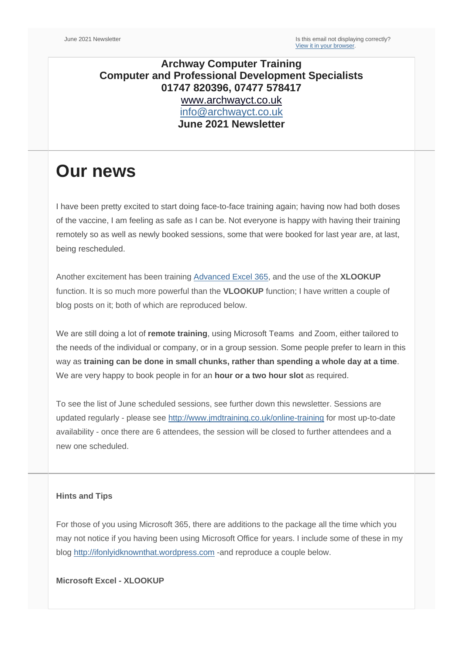### **Archway Computer Training Computer and Professional Development Specialists 01747 820396, 07477 578417** [www.archwayct.co.uk](http://www.archwayct.co.uk/) [info@archwayct.co.uk](mailto:%20info@archwayct.co.uk) **June 2021 Newsletter**

# **Our news**

I have been pretty excited to start doing face-to-face training again; having now had both doses of the vaccine, I am feeling as safe as I can be. Not everyone is happy with having their training remotely so as well as newly booked sessions, some that were booked for last year are, at last, being rescheduled.

Another excitement has been training [Advanced Excel 365,](http://www.archwayct.co.uk/microsoft-office-training/microsoft-excel-training) and the use of the **XLOOKUP**  function. It is so much more powerful than the **VLOOKUP** function; I have written a couple of blog posts on it; both of which are reproduced below.

We are still doing a lot of **remote training**, using Microsoft Teams and Zoom, either tailored to the needs of the individual or company, or in a group session. Some people prefer to learn in this way as **training can be done in small chunks, rather than spending a whole day at a time**. We are very happy to book people in for an **hour or a two hour slot** as required.

To see the list of June scheduled sessions, see further down this newsletter. Sessions are updated regularly - please see [http://www.jmdtraining.co.uk/online-training](http://www.archwayct.co.uk/online-training) for most up-to-date availability - once there are 6 attendees, the session will be closed to further attendees and a new one scheduled.

#### **Hints and Tips**

For those of you using Microsoft 365, there are additions to the package all the time which you may not notice if you having been using Microsoft Office for years. I include some of these in my blog [http://ifonlyidknownthat.wordpress.com](http://ifonlyidknownthat.wordpress.com/) -and reproduce a couple below.

**Microsoft Excel - XLOOKUP**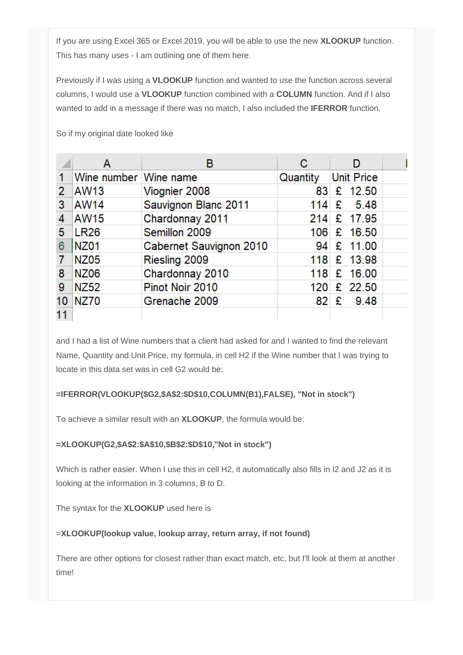If you are using Excel 365 or Excel 2019, you will be able to use the new **XLOOKUP** function. This has many uses - I am outlining one of them here.

Previously if I was using a **VLOOKUP** function and wanted to use the function across several columns, I would use a **VLOOKUP** function combined with a **COLUMN** function. And if I also wanted to add in a message if there was no match, I also included the **IFERROR** function.

So if my original date looked like

|    | Α                     | в                       | С        |                   |  |
|----|-----------------------|-------------------------|----------|-------------------|--|
|    | Wine number Wine name |                         | Quantity | <b>Unit Price</b> |  |
| 2  | <b>AW13</b>           | Viognier 2008           | 83.      | £ $12.50$         |  |
| 3  | AW14                  | Sauvignon Blanc 2011    | 114      | £<br>5.48         |  |
| 4  | <b>AW15</b>           | Chardonnay 2011         | 214      | £ 17.95           |  |
| 5  | <b>LR26</b>           | Semillon 2009           |          | 106 £ 16.50       |  |
| 6  | <b>NZ01</b>           | Cabernet Sauvignon 2010 | 94       | £ 11.00           |  |
|    | <b>NZ05</b>           | Riesling 2009           |          | 118 £ 13.98       |  |
| 8  | <b>NZ06</b>           | Chardonnay 2010         |          | 118 £ 16.00       |  |
| 9  | <b>NZ52</b>           | Pinot Noir 2010         |          | 120 £ 22.50       |  |
| 10 | <b>NZ70</b>           | Grenache 2009           | 82       | £<br>9.48         |  |
| 11 |                       |                         |          |                   |  |

and I had a list of Wine numbers that a client had asked for and I wanted to find the relevant Name, Quantity and Unit Price, my formula, in cell H2 if the Wine number that I was trying to locate in this data set was in cell G2 would be:

#### **=IFERROR(VLOOKUP(\$G2,\$A\$2:\$D\$10,COLUMN(B1),FALSE), "Not in stock")**

To achieve a similar result with an **XLOOKUP**, the formula would be:

#### **=XLOOKUP(G2,\$A\$2:\$A\$10,\$B\$2:\$D\$10,"Not in stock")**

Which is rather easier. When I use this in cell H2, it automatically also fills in I2 and J2 as it is looking at the information in 3 columns, B to D.

The syntax for the **XLOOKUP** used here is

#### =**XLOOKUP(lookup value, lookup array, return array, if not found)**

There are other options for closest rather than exact match, etc, but I'll look at them at another time!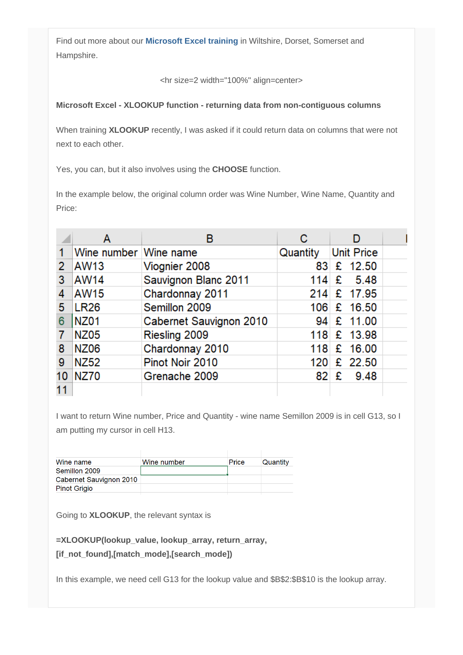Find out more about our **[Microsoft Excel training](http://www.archwayct.co.uk/microsoft-office-training/microsoft-excel-training)** in Wiltshire, Dorset, Somerset and Hampshire.

<hr size=2 width="100%" align=center>

#### **Microsoft Excel - XLOOKUP function - returning data from non-contiguous columns**

When training **XLOOKUP** recently, I was asked if it could return data on columns that were not next to each other.

Yes, you can, but it also involves using the **CHOOSE** function.

In the example below, the original column order was Wine Number, Wine Name, Quantity and Price:

|    | Α                     | в                       | С        |                   |  |
|----|-----------------------|-------------------------|----------|-------------------|--|
|    | Wine number Wine name |                         | Quantity | <b>Unit Price</b> |  |
| 2  | AW13                  | Viognier 2008           | 83.      | £ $12.50$         |  |
| 3  | <b>AW14</b>           | Sauvignon Blanc 2011    | 114      | - 5.48<br>£       |  |
| 4  | <b>AW15</b>           | Chardonnay 2011         | 214      | £ 17.95           |  |
| 5  | <b>LR26</b>           | Semillon 2009           |          | 106 £ 16.50       |  |
| 6  | <b>NZ01</b>           | Cabernet Sauvignon 2010 |          | 94 £ 11.00        |  |
|    | <b>NZ05</b>           | Riesling 2009           |          | 118 £ 13.98       |  |
| 8  | <b>NZ06</b>           | Chardonnay 2010         | 118      | £ 16.00           |  |
| 9  | <b>NZ52</b>           | Pinot Noir 2010         | 120      | £ 22.50           |  |
| 10 | <b>NZ70</b>           | Grenache 2009           | 82       | £<br>9.48         |  |
| 11 |                       |                         |          |                   |  |

I want to return Wine number, Price and Quantity - wine name Semillon 2009 is in cell G13, so I am putting my cursor in cell H13.

| Wine name               | Wine number | <b>Price</b> | Quantity |
|-------------------------|-------------|--------------|----------|
| Semillon 2009           |             |              |          |
| Cabernet Sauvignon 2010 |             |              |          |
| <b>Pinot Grigio</b>     |             |              |          |
|                         |             |              |          |

Going to **XLOOKUP**, the relevant syntax is

**=XLOOKUP(lookup\_value, lookup\_array, return\_array,** 

**[if\_not\_found],[match\_mode],[search\_mode])**

In this example, we need cell G13 for the lookup value and \$B\$2:\$B\$10 is the lookup array.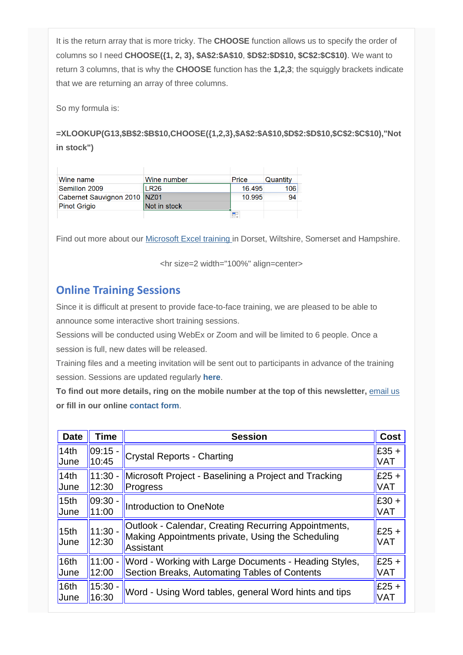It is the return array that is more tricky. The **CHOOSE** function allows us to specify the order of columns so I need **CHOOSE({1, 2, 3}, \$A\$2:\$A\$10**, **\$D\$2:\$D\$10, \$C\$2:\$C\$10)**. We want to return 3 columns, that is why the **CHOOSE** function has the **1,2,3**; the squiggly brackets indicate that we are returning an array of three columns.

So my formula is:

**=XLOOKUP(G13,\$B\$2:\$B\$10,CHOOSE({1,2,3},\$A\$2:\$A\$10,\$D\$2:\$D\$10,\$C\$2:\$C\$10),"Not in stock")**

| Wine name                      | Wine number  | Price  | Quantity |
|--------------------------------|--------------|--------|----------|
| Semillon 2009                  | <b>LR26</b>  | 16.495 | 106      |
| Cabernet Sauvignon 2010   NZ01 |              | 10.995 | 94       |
| <b>Pinot Grigio</b>            | Not in stock |        |          |
|                                |              |        |          |

Find out more about our [Microsoft Excel training](http://www.archwayct.co.uk/microsoft-office-training/microsoft-excel-training) [i](http://www.archwayct.co.uk/microsoft-office-training/microsoft-excel-training)n Dorset, Wiltshire, Somerset and Hampshire.

<hr size=2 width="100%" align=center>

## **Online Training Sessions**

Since it is difficult at present to provide face-to-face training, we are pleased to be able to announce some interactive short training sessions.

Sessions will be conducted using WebEx or Zoom and will be limited to 6 people. Once a session is full, new dates will be released.

Training files and a meeting invitation will be sent out to participants in advance of the training session. Sessions are updated regularly **[here](http://www.archwayct.co.uk/online-training)**.

**To find out more details, ring on the mobile number at the top of this newsletter,** [email us](mailto:jdonbavand@btinternet.com?subject=Online%20training) **or fill in our online [contact form](http://www.archwayct.co.uk/contact)**.

| <b>Date</b>              | Time               | <b>Session</b>                                                                                                                | Cost                  |
|--------------------------|--------------------|-------------------------------------------------------------------------------------------------------------------------------|-----------------------|
| 14th                     | $09:15 -$          | <b>Crystal Reports - Charting</b>                                                                                             | $E35 +$               |
| June                     | 10:45              |                                                                                                                               | <b>VAT</b>            |
| 14th                     | 11:30              | Microsoft Project - Baselining a Project and Tracking                                                                         | $E25 +$               |
| June                     | 12:30              | <b>Progress</b>                                                                                                               | <b>VAT</b>            |
| 15 <sub>th</sub>         | 09:30              | Introduction to OneNote                                                                                                       | $E30 +$               |
| June                     | 11:00              |                                                                                                                               | <b>VAT</b>            |
| 15 <sub>th</sub><br>June | $11:30 -$<br>12:30 | Outlook - Calendar, Creating Recurring Appointments,<br>Making Appointments private, Using the Scheduling<br><b>Assistant</b> | $E25 +$<br><b>VAT</b> |
| 16th                     | $11:00 -$          | Word - Working with Large Documents - Heading Styles,                                                                         | $E25 +$               |
| June                     | 12:00              | Section Breaks, Automating Tables of Contents                                                                                 | <b>VAT</b>            |
| 16 <sub>th</sub>         | $15:30 -$          | Word - Using Word tables, general Word hints and tips                                                                         | $E25 +$               |
| June                     | 16:30              |                                                                                                                               | <b>VAT</b>            |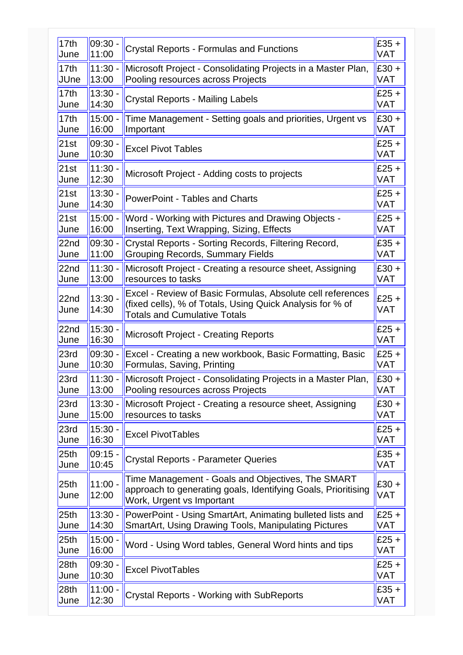| 17th                     | $09:30 -$          | <b>Crystal Reports - Formulas and Functions</b>                                                                                                                | $£35 +$        |
|--------------------------|--------------------|----------------------------------------------------------------------------------------------------------------------------------------------------------------|----------------|
| June                     | 11:00              |                                                                                                                                                                | <b>VAT</b>     |
| 17 <sub>th</sub>         | $11:30 -$          | Microsoft Project - Consolidating Projects in a Master Plan,                                                                                                   | $E30 +$        |
| <b>JUne</b>              | 13:00              | Pooling resources across Projects                                                                                                                              | <b>VAT</b>     |
| 17 <sub>th</sub>         | $13:30 -$          | <b>Crystal Reports - Mailing Labels</b>                                                                                                                        | $£25 +$        |
| June                     | 14:30              |                                                                                                                                                                | VAT            |
| 17th                     | $15:00 -$          | Time Management - Setting goals and priorities, Urgent vs                                                                                                      | $E30 +$        |
| June                     | 16:00              | Important                                                                                                                                                      | <b>VAT</b>     |
| 21st                     | 09:30.             | <b>Excel Pivot Tables</b>                                                                                                                                      | $£25 +$        |
| June                     | 10:30              |                                                                                                                                                                | <b>VAT</b>     |
| 21st                     | $11:30 -$          | Microsoft Project - Adding costs to projects                                                                                                                   | $£25 +$        |
| June                     | 12:30              |                                                                                                                                                                | <b>VAT</b>     |
| 21st                     | 13:30.             | <b>PowerPoint - Tables and Charts</b>                                                                                                                          | $£25 +$        |
| June                     | 14:30              |                                                                                                                                                                | <b>VAT</b>     |
| 21st                     | $15:00 -$          | Word - Working with Pictures and Drawing Objects -                                                                                                             | $£25 +$        |
| June                     | 16:00              | Inserting, Text Wrapping, Sizing, Effects                                                                                                                      | VAT            |
| 22nd                     | $09:30 -$          | Crystal Reports - Sorting Records, Filtering Record,                                                                                                           | $£35 +$        |
| June                     | 11:00              | <b>Grouping Records, Summary Fields</b>                                                                                                                        | <b>VAT</b>     |
| 22 <sub>nd</sub>         | $11:30 -$          | Microsoft Project - Creating a resource sheet, Assigning                                                                                                       | $£30 +$        |
| June                     | 13:00              | resources to tasks                                                                                                                                             | <b>VAT</b>     |
| 22nd<br>June             | $13:30 -$<br>14:30 | Excel - Review of Basic Formulas, Absolute cell references<br>(fixed cells), % of Totals, Using Quick Analysis for % of<br><b>Totals and Cumulative Totals</b> | $£25 +$<br>VAT |
| 22 <sub>nd</sub>         | 15:30 -            | <b>Microsoft Project - Creating Reports</b>                                                                                                                    | $£25 +$        |
| June                     | 16:30              |                                                                                                                                                                | <b>VAT</b>     |
| 23rd                     | 09:30 -            | Excel - Creating a new workbook, Basic Formatting, Basic                                                                                                       | $£25 +$        |
| June                     | 10:30              | Formulas, Saving, Printing                                                                                                                                     | <b>VAT</b>     |
| 23rd                     | $11:30 -$          | Microsoft Project - Consolidating Projects in a Master Plan,                                                                                                   | $E30 +$        |
| June                     | 13:00              | Pooling resources across Projects                                                                                                                              | <b>VAT</b>     |
| 23rd                     | $13:30 -$          | Microsoft Project - Creating a resource sheet, Assigning                                                                                                       | $£30 +$        |
| June                     | 15:00              | resources to tasks                                                                                                                                             | <b>VAT</b>     |
| 23rd                     | $15:30 -$          | <b>Excel PivotTables</b>                                                                                                                                       | $E25 +$        |
| June                     | 16:30              |                                                                                                                                                                | <b>VAT</b>     |
| 25 <sub>th</sub>         | $09:15 -$          | <b>Crystal Reports - Parameter Queries</b>                                                                                                                     | $E35 +$        |
| June                     | 10:45              |                                                                                                                                                                | <b>VAT</b>     |
| 25 <sub>th</sub><br>June | $11:00 -$<br>12:00 | Time Management - Goals and Objectives, The SMART<br>approach to generating goals, Identifying Goals, Prioritising<br>Work, Urgent vs Important                | $E30 +$<br>VAT |
| 25 <sub>th</sub>         | $13:30 -$          | PowerPoint - Using SmartArt, Animating bulleted lists and                                                                                                      | $£25 +$        |
| June                     | 14:30              | <b>SmartArt, Using Drawing Tools, Manipulating Pictures</b>                                                                                                    | VAT            |
| 25 <sub>th</sub>         | $15:00 -$          | Word - Using Word tables, General Word hints and tips                                                                                                          | $£25 +$        |
| June                     | 16:00              |                                                                                                                                                                | <b>VAT</b>     |
| 28 <sub>th</sub>         | 09:30 -            | <b>Excel PivotTables</b>                                                                                                                                       | $E25 +$        |
| June                     | 10:30              |                                                                                                                                                                | <b>VAT</b>     |
| 28 <sub>th</sub>         | 11:00.             | <b>Crystal Reports - Working with SubReports</b>                                                                                                               | $E35 +$        |
| June                     | 12:30              |                                                                                                                                                                | <b>VAT</b>     |
|                          |                    |                                                                                                                                                                |                |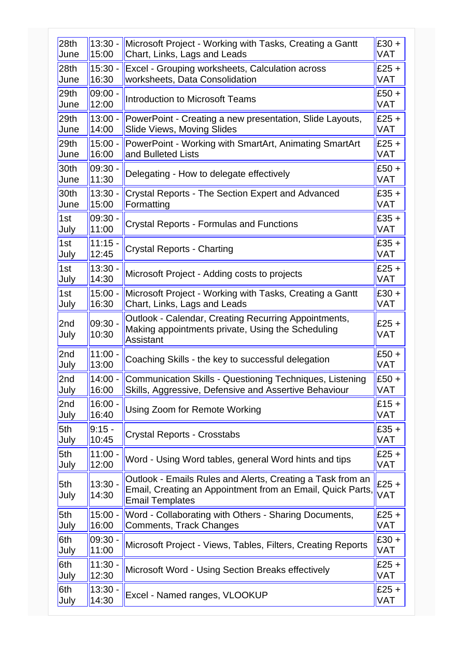| 28th             | $13:30 -$          | Microsoft Project - Working with Tasks, Creating a Gantt                                                                                           | $£30 +$               |
|------------------|--------------------|----------------------------------------------------------------------------------------------------------------------------------------------------|-----------------------|
| June             | 15:00              | Chart, Links, Lags and Leads                                                                                                                       | VAT                   |
| 28 <sub>th</sub> | $15:30 -$          | Excel - Grouping worksheets, Calculation across                                                                                                    | $£25 +$               |
| June             | 16:30              | worksheets, Data Consolidation                                                                                                                     | <b>VAT</b>            |
| 29th             | $09:00 -$          | <b>Introduction to Microsoft Teams</b>                                                                                                             | $£50 +$               |
| June             | 12:00              |                                                                                                                                                    | <b>VAT</b>            |
| 29th             | $13:00 -$          | PowerPoint - Creating a new presentation, Slide Layouts,                                                                                           | $£25 +$               |
| June             | 14:00              | Slide Views, Moving Slides                                                                                                                         | <b>VAT</b>            |
| 29th             | $15:00 -$          | PowerPoint - Working with SmartArt, Animating SmartArt                                                                                             | $£25 +$               |
| June             | 16:00              | and Bulleted Lists                                                                                                                                 | <b>VAT</b>            |
| 30th             | $09:30 -$          | Delegating - How to delegate effectively                                                                                                           | $£50 +$               |
| June             | 11:30              |                                                                                                                                                    | VAT                   |
| 30th             | $13:30 -$          | <b>Crystal Reports - The Section Expert and Advanced</b>                                                                                           | $£35 +$               |
| June             | 15:00              | Formatting                                                                                                                                         | VAT                   |
| 1st              | 09:30.             | <b>Crystal Reports - Formulas and Functions</b>                                                                                                    | $£35 +$               |
| July             | 11:00              |                                                                                                                                                    | <b>VAT</b>            |
| 1st              | $11:15 -$          | <b>Crystal Reports - Charting</b>                                                                                                                  | $£35 +$               |
| July             | 12:45              |                                                                                                                                                    | VAT                   |
| 1st              | 13:30.             | Microsoft Project - Adding costs to projects                                                                                                       | $£25 +$               |
| July             | 14:30              |                                                                                                                                                    | <b>VAT</b>            |
| 1st              | $15:00 -$          | Microsoft Project - Working with Tasks, Creating a Gantt                                                                                           | $£30 +$               |
| July             | 16:30              | Chart, Links, Lags and Leads                                                                                                                       | <b>VAT</b>            |
| 2nd<br>July      | $09:30 -$<br>10:30 | Outlook - Calendar, Creating Recurring Appointments,<br>Making appointments private, Using the Scheduling<br><b>Assistant</b>                      | $£25 +$<br><b>VAT</b> |
| 2nd              | $11:00 -$          | Coaching Skills - the key to successful delegation                                                                                                 | $£50+$                |
| July             | 13:00              |                                                                                                                                                    | <b>VAT</b>            |
| 2nd              | $14:00 -$          | <b>Communication Skills - Questioning Techniques, Listening</b>                                                                                    | $£50 +$               |
| July             | 16:00              | Skills, Aggressive, Defensive and Assertive Behaviour                                                                                              | <b>VAT</b>            |
| 2nd              | $16:00 -$          | Using Zoom for Remote Working                                                                                                                      | $£15 +$               |
| July             | 16:40              |                                                                                                                                                    | <b>VAT</b>            |
| 5th              | $9:15 -$           | <b>Crystal Reports - Crosstabs</b>                                                                                                                 | $£35 +$               |
| July             | 10:45              |                                                                                                                                                    | <b>VAT</b>            |
| 5th              | $11:00 -$          | Word - Using Word tables, general Word hints and tips                                                                                              | $£25 +$               |
| July             | 12:00              |                                                                                                                                                    | VAT                   |
| 5th<br>July      | $13:30 -$<br>14:30 | Outlook - Emails Rules and Alerts, Creating a Task from an<br>Email, Creating an Appointment from an Email, Quick Parts,<br><b>Email Templates</b> | $£25 +$<br>VAT        |
| 5th              | $15:00 -$          | Word - Collaborating with Others - Sharing Documents,                                                                                              | $£25 +$               |
| July             | 16:00              | Comments, Track Changes                                                                                                                            | VAT                   |
| 6th              | $09:30 -$          | Microsoft Project - Views, Tables, Filters, Creating Reports                                                                                       | $£30 +$               |
| July             | 11:00              |                                                                                                                                                    | <b>VAT</b>            |
| 6th              | $11:30 -$          | Microsoft Word - Using Section Breaks effectively                                                                                                  | $£25 +$               |
| July             | 12:30              |                                                                                                                                                    | VAT                   |
| 6th              | $13:30 -$          | Excel - Named ranges, VLOOKUP                                                                                                                      | $£25 +$               |
| July             | 14:30              |                                                                                                                                                    | VAT                   |